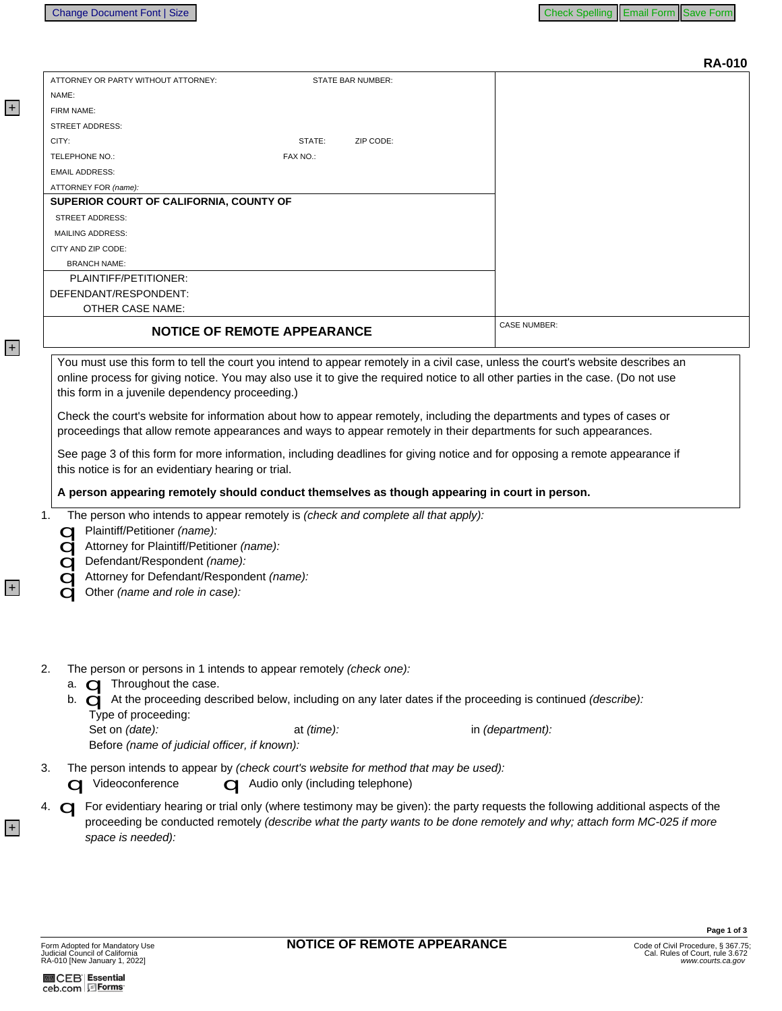|    |                                                                                                                                                                                                                                                                                                                                         | <b>RA-010</b>       |  |
|----|-----------------------------------------------------------------------------------------------------------------------------------------------------------------------------------------------------------------------------------------------------------------------------------------------------------------------------------------|---------------------|--|
|    | ATTORNEY OR PARTY WITHOUT ATTORNEY:<br>STATE BAR NUMBER:                                                                                                                                                                                                                                                                                |                     |  |
|    | NAME:                                                                                                                                                                                                                                                                                                                                   |                     |  |
|    | FIRM NAME:                                                                                                                                                                                                                                                                                                                              |                     |  |
|    | <b>STREET ADDRESS:</b>                                                                                                                                                                                                                                                                                                                  |                     |  |
|    | CITY:<br>STATE:<br>ZIP CODE:                                                                                                                                                                                                                                                                                                            |                     |  |
|    | TELEPHONE NO.:<br>FAX NO.:                                                                                                                                                                                                                                                                                                              |                     |  |
|    | <b>EMAIL ADDRESS:</b>                                                                                                                                                                                                                                                                                                                   |                     |  |
|    | ATTORNEY FOR (name):                                                                                                                                                                                                                                                                                                                    |                     |  |
|    | SUPERIOR COURT OF CALIFORNIA, COUNTY OF                                                                                                                                                                                                                                                                                                 |                     |  |
|    | STREET ADDRESS:                                                                                                                                                                                                                                                                                                                         |                     |  |
|    | <b>MAILING ADDRESS:</b>                                                                                                                                                                                                                                                                                                                 |                     |  |
|    | CITY AND ZIP CODE:                                                                                                                                                                                                                                                                                                                      |                     |  |
|    | <b>BRANCH NAME:</b>                                                                                                                                                                                                                                                                                                                     |                     |  |
|    | PLAINTIFF/PETITIONER:                                                                                                                                                                                                                                                                                                                   |                     |  |
|    | DEFENDANT/RESPONDENT:                                                                                                                                                                                                                                                                                                                   |                     |  |
|    | <b>OTHER CASE NAME:</b>                                                                                                                                                                                                                                                                                                                 |                     |  |
|    | <b>NOTICE OF REMOTE APPEARANCE</b>                                                                                                                                                                                                                                                                                                      | <b>CASE NUMBER:</b> |  |
|    | You must use this form to tell the court you intend to appear remotely in a civil case, unless the court's website describes an<br>online process for giving notice. You may also use it to give the required notice to all other parties in the case. (Do not use<br>this form in a juvenile dependency proceeding.)                   |                     |  |
|    | Check the court's website for information about how to appear remotely, including the departments and types of cases or<br>proceedings that allow remote appearances and ways to appear remotely in their departments for such appearances.                                                                                             |                     |  |
|    | See page 3 of this form for more information, including deadlines for giving notice and for opposing a remote appearance if<br>this notice is for an evidentiary hearing or trial.                                                                                                                                                      |                     |  |
|    | A person appearing remotely should conduct themselves as though appearing in court in person.                                                                                                                                                                                                                                           |                     |  |
|    | The person who intends to appear remotely is (check and complete all that apply):<br>1.<br>Plaintiff/Petitioner (name):<br>Attorney for Plaintiff/Petitioner (name):<br>Defendant/Respondent (name):<br>Attorney for Defendant/Respondent (name):<br>Other (name and role in case):                                                     |                     |  |
| 2. | The person or persons in 1 intends to appear remotely (check one):<br>a. $\Box$ Throughout the case.<br>b. $\bigcirc$ At the proceeding described below, including on any later dates if the proceeding is continued (describe):<br>Type of proceeding:<br>Set on (date):<br>at (time):<br>Before (name of judicial officer, if known): | in (department):    |  |
| 3. | The person intends to appear by (check court's website for method that may be used):<br>Videoconference<br>Audio only (including telephone)                                                                                                                                                                                             |                     |  |
|    | For evidentiary hearing or trial only (where testimony may be given): the party requests the following additional aspects of the<br>4. $\bigcirc$<br>proceeding be conducted remotely (describe what the party wants to be done remotely and why; attach form MC-025 if more<br>space is needed):                                       |                     |  |

**M**CEB Essential<br>ceb.com <u>目Forms</u>

+

+

+

+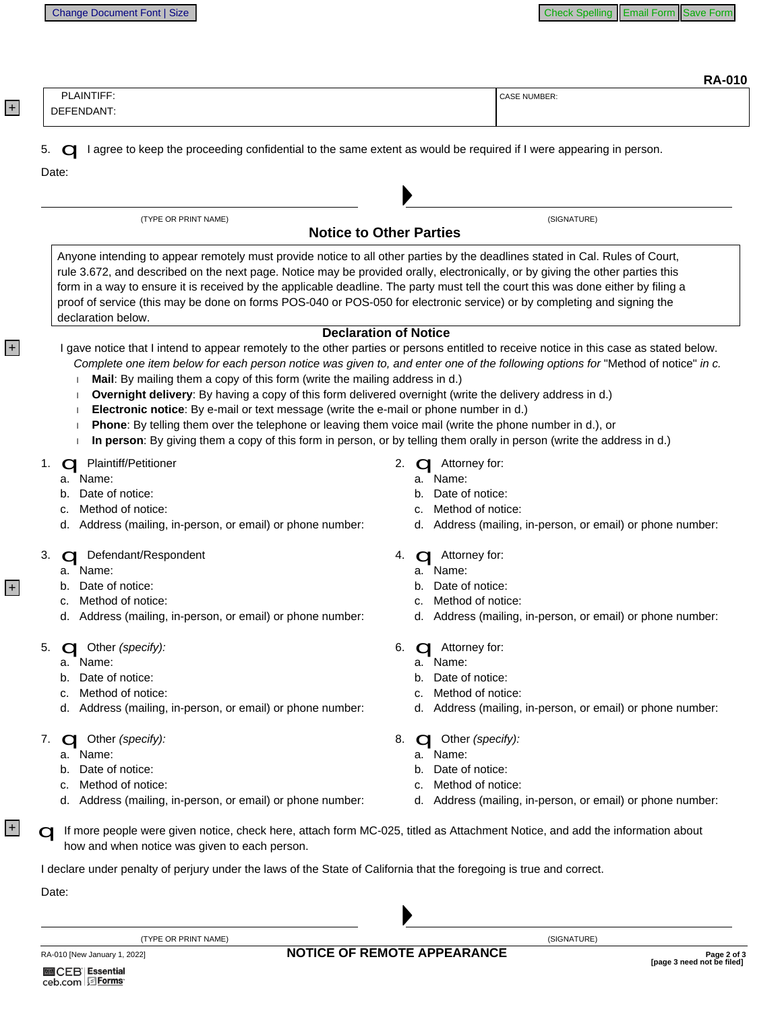| ۰.<br>ı<br>r | м<br>г |
|--------------|--------|
|--------------|--------|

| DEFENDANT:                                                                                                                                                                                                                                                                                                                                                                                                                                                                                                                                           | <b>RA-010</b><br><b>CASE NUMBER:</b>                                                                                                                                                                                                                                                                        |
|------------------------------------------------------------------------------------------------------------------------------------------------------------------------------------------------------------------------------------------------------------------------------------------------------------------------------------------------------------------------------------------------------------------------------------------------------------------------------------------------------------------------------------------------------|-------------------------------------------------------------------------------------------------------------------------------------------------------------------------------------------------------------------------------------------------------------------------------------------------------------|
| I agree to keep the proceeding confidential to the same extent as would be required if I were appearing in person.<br>Date:                                                                                                                                                                                                                                                                                                                                                                                                                          |                                                                                                                                                                                                                                                                                                             |
| (TYPE OR PRINT NAME)                                                                                                                                                                                                                                                                                                                                                                                                                                                                                                                                 | (SIGNATURE)<br><b>Notice to Other Parties</b>                                                                                                                                                                                                                                                               |
| Anyone intending to appear remotely must provide notice to all other parties by the deadlines stated in Cal. Rules of Court,<br>rule 3.672, and described on the next page. Notice may be provided orally, electronically, or by giving the other parties this<br>form in a way to ensure it is received by the applicable deadline. The party must tell the court this was done either by filing a<br>proof of service (this may be done on forms POS-040 or POS-050 for electronic service) or by completing and signing the<br>declaration below. |                                                                                                                                                                                                                                                                                                             |
| Mail: By mailing them a copy of this form (write the mailing address in d.)<br>Overnight delivery: By having a copy of this form delivered overnight (write the delivery address in d.)<br>Electronic notice: By e-mail or text message (write the e-mail or phone number in d.)<br>Phone: By telling them over the telephone or leaving them voice mail (write the phone number in d.), or<br>In person: By giving them a copy of this form in person, or by telling them orally in person (write the address in d.)                                | <b>Declaration of Notice</b><br>I gave notice that I intend to appear remotely to the other parties or persons entitled to receive notice in this case as stated below.<br>Complete one item below for each person notice was given to, and enter one of the following options for "Method of notice" in c. |
| <b>Plaintiff/Petitioner</b><br>Name:<br>а.<br>Date of notice:<br>b.<br>Method of notice:<br>c.<br>d. Address (mailing, in-person, or email) or phone number:                                                                                                                                                                                                                                                                                                                                                                                         | 2.<br>Attorney for:<br>a. Name:<br>Date of notice:<br>b.<br>Method of notice:<br>C.<br>d. Address (mailing, in-person, or email) or phone number:                                                                                                                                                           |
| Defendant/Respondent<br>Name:<br>а.<br>b. Date of notice:<br>Method of notice:<br>c.<br>d. Address (mailing, in-person, or email) or phone number:                                                                                                                                                                                                                                                                                                                                                                                                   | Attorney for:<br>4.<br>Name:<br>а.<br>Date of notice:<br>b.<br>Method of notice:<br>c.<br>d. Address (mailing, in-person, or email) or phone number:                                                                                                                                                        |
| <b>C</b> Other (specify):<br>Name:<br>а.<br>Date of notice:<br>b.<br>Method of notice:<br>d. Address (mailing, in-person, or email) or phone number:                                                                                                                                                                                                                                                                                                                                                                                                 | 6.<br>Attorney for:<br>Name:<br>a.<br>Date of notice:<br>Method of notice:<br>d. Address (mailing, in-person, or email) or phone number:                                                                                                                                                                    |
| <b>C</b> Other (specify):<br>Name:<br>а.<br>Date of notice:<br>b.                                                                                                                                                                                                                                                                                                                                                                                                                                                                                    | 8.<br>Other (specify):<br>Name:<br>a.<br>Date of notice:<br>Method of notice:<br>d. Address (mailing, in-person, or email) or phone number:                                                                                                                                                                 |
| Method of notice:<br>d. Address (mailing, in-person, or email) or phone number:                                                                                                                                                                                                                                                                                                                                                                                                                                                                      |                                                                                                                                                                                                                                                                                                             |

(TYPE OR PRINT NAME)

RA-010 [New January 1, 2022]

+

+

+

+

(SIGNATURE)